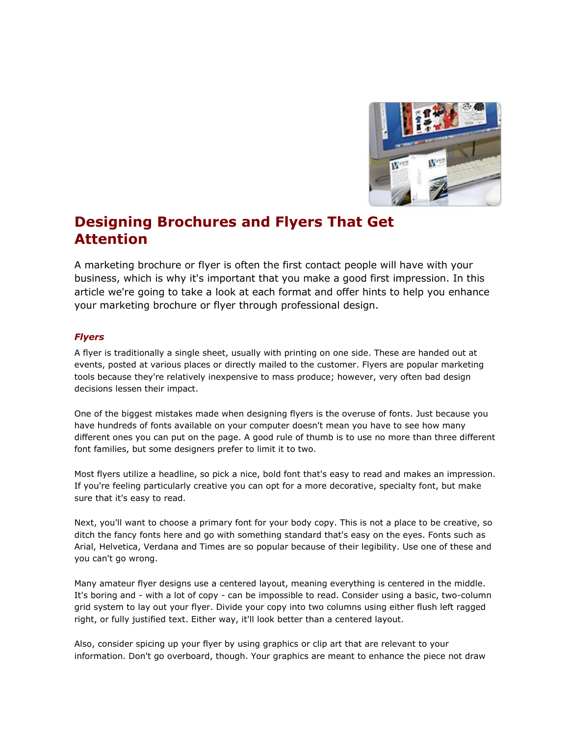

## **Designing Brochures and Flyers That Get Attention**

A marketing brochure or flyer is often the first contact people will have with your business, which is why it's important that you make a good first impression. In this article we're going to take a look at each format and offer hints to help you enhance your marketing brochure or flyer through professional design.

## *Flyers*

A flyer is traditionally a single sheet, usually with printing on one side. These are handed out at events, posted at various places or directly mailed to the customer. Flyers are popular marketing tools because they're relatively inexpensive to mass produce; however, very often bad design decisions lessen their impact.

One of the biggest mistakes made when designing flyers is the overuse of fonts. Just because you have hundreds of fonts available on your computer doesn't mean you have to see how many different ones you can put on the page. A good rule of thumb is to use no more than three different font families, but some designers prefer to limit it to two.

Most flyers utilize a headline, so pick a nice, bold font that's easy to read and makes an impression. If you're feeling particularly creative you can opt for a more decorative, specialty font, but make sure that it's easy to read.

Next, you'll want to choose a primary font for your body copy. This is not a place to be creative, so ditch the fancy fonts here and go with something standard that's easy on the eyes. Fonts such as Arial, Helvetica, Verdana and Times are so popular because of their legibility. Use one of these and you can't go wrong.

Many amateur flyer designs use a centered layout, meaning everything is centered in the middle. It's boring and - with a lot of copy - can be impossible to read. Consider using a basic, two-column grid system to lay out your flyer. Divide your copy into two columns using either flush left ragged right, or fully justified text. Either way, it'll look better than a centered layout.

Also, consider spicing up your flyer by using graphics or clip art that are relevant to your information. Don't go overboard, though. Your graphics are meant to enhance the piece not draw